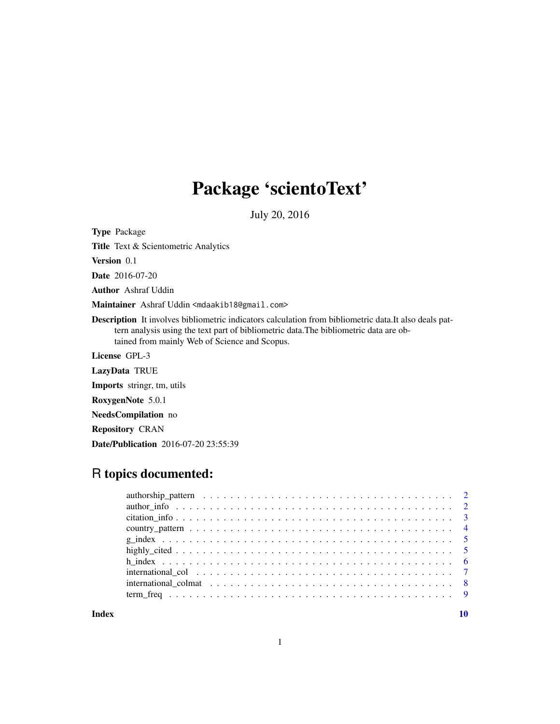## Package 'scientoText'

July 20, 2016

Type Package

Title Text & Scientometric Analytics

Version 0.1

Date 2016-07-20

Author Ashraf Uddin

Maintainer Ashraf Uddin <mdaakib18@gmail.com>

Description It involves bibliometric indicators calculation from bibliometric data.It also deals pattern analysis using the text part of bibliometric data.The bibliometric data are obtained from mainly Web of Science and Scopus.

License GPL-3

LazyData TRUE

Imports stringr, tm, utils

RoxygenNote 5.0.1

NeedsCompilation no

Repository CRAN

Date/Publication 2016-07-20 23:55:39

### R topics documented:

 $\blacksquare$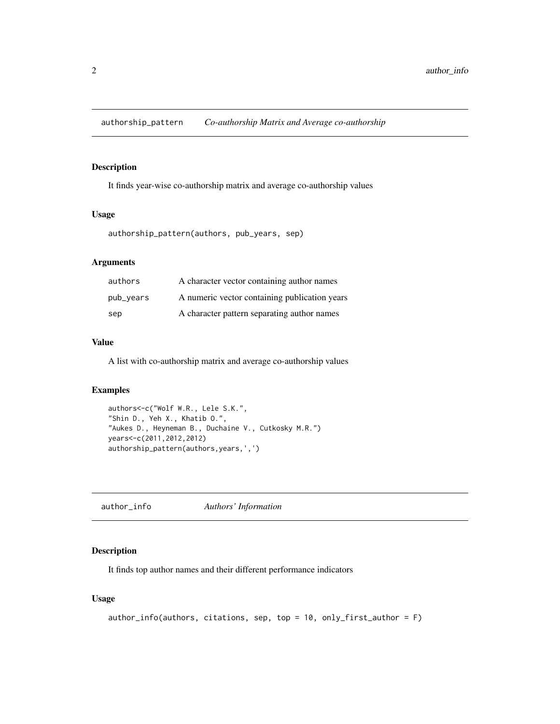<span id="page-1-0"></span>authorship\_pattern *Co-authorship Matrix and Average co-authorship*

#### Description

It finds year-wise co-authorship matrix and average co-authorship values

#### Usage

```
authorship_pattern(authors, pub_years, sep)
```
#### Arguments

| authors   | A character vector containing author names    |
|-----------|-----------------------------------------------|
| pub_years | A numeric vector containing publication years |
| sep       | A character pattern separating author names   |

#### Value

A list with co-authorship matrix and average co-authorship values

#### Examples

```
authors<-c("Wolf W.R., Lele S.K.",
"Shin D., Yeh X., Khatib O.",
"Aukes D., Heyneman B., Duchaine V., Cutkosky M.R.")
years<-c(2011,2012,2012)
authorship_pattern(authors,years,',')
```
author\_info *Authors' Information*

#### Description

It finds top author names and their different performance indicators

#### Usage

```
author_info(authors, citations, sep, top = 10, only_first_author = F)
```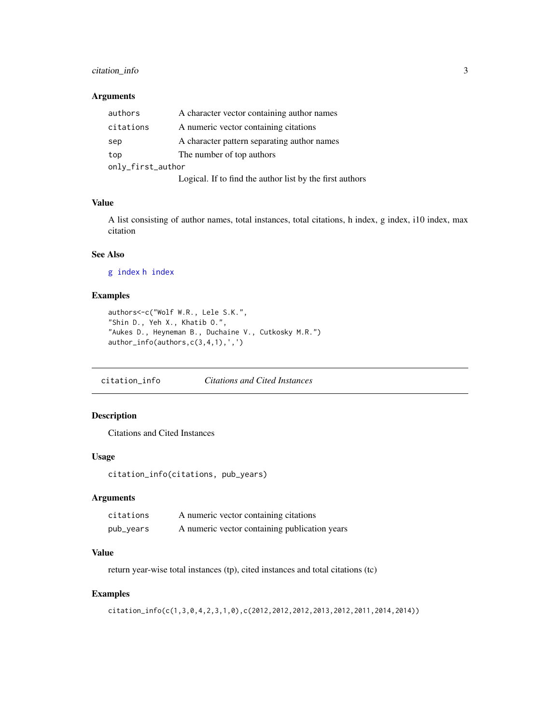#### <span id="page-2-0"></span>citation\_info 3

#### Arguments

| authors           | A character vector containing author names               |
|-------------------|----------------------------------------------------------|
| citations         | A numeric vector containing citations                    |
| sep               | A character pattern separating author names              |
| top               | The number of top authors                                |
| only_first_author |                                                          |
|                   | Logical. If to find the author list by the first authors |

#### Value

A list consisting of author names, total instances, total citations, h index, g index, i10 index, max citation

#### See Also

[g index](#page-4-1) [h index](#page-5-1)

#### Examples

```
authors<-c("Wolf W.R., Lele S.K.",
"Shin D., Yeh X., Khatib O.",
"Aukes D., Heyneman B., Duchaine V., Cutkosky M.R.")
author_info(authors,c(3,4,1),',')
```
citation\_info *Citations and Cited Instances*

#### Description

Citations and Cited Instances

#### Usage

citation\_info(citations, pub\_years)

#### Arguments

| citations | A numeric vector containing citations         |
|-----------|-----------------------------------------------|
| pub_years | A numeric vector containing publication years |

#### Value

return year-wise total instances (tp), cited instances and total citations (tc)

```
citation_info(c(1,3,0,4,2,3,1,0),c(2012,2012,2012,2013,2012,2011,2014,2014))
```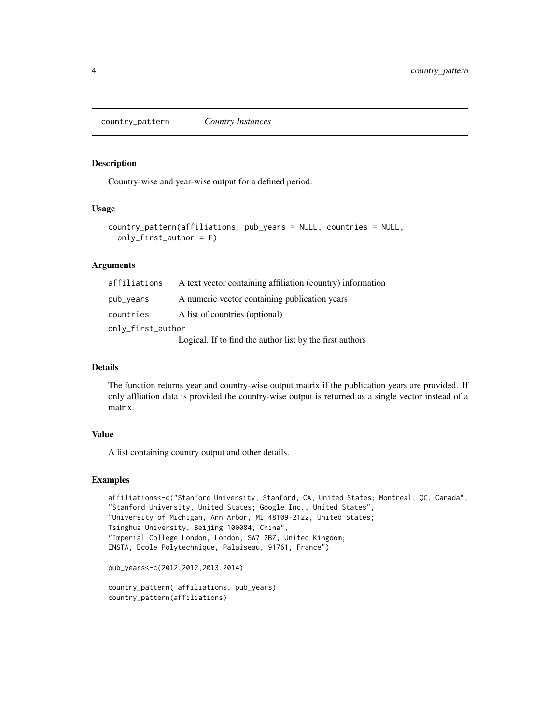<span id="page-3-0"></span>country\_pattern *Country Instances*

#### Description

Country-wise and year-wise output for a defined period.

#### Usage

```
country_pattern(affiliations, pub_years = NULL, countries = NULL,
  only_first_author = F)
```
#### Arguments

| affiliations      | A text vector containing affiliation (country) information |  |
|-------------------|------------------------------------------------------------|--|
| pub_years         | A numeric vector containing publication years              |  |
| countries         | A list of countries (optional)                             |  |
| only_first_author |                                                            |  |
|                   | Logical. If to find the author list by the first authors   |  |

#### Details

The function returns year and country-wise output matrix if the publication years are provided. If only affliation data is provided the country-wise output is returned as a single vector instead of a matrix.

#### Value

A list containing country output and other details.

```
affiliations<-c("Stanford University, Stanford, CA, United States; Montreal, QC, Canada",
"Stanford University, United States; Google Inc., United States",
"University of Michigan, Ann Arbor, MI 48109-2122, United States;
Tsinghua University, Beijing 100084, China",
"Imperial College London, London, SW7 2BZ, United Kingdom;
ENSTA, Ecole Polytechnique, Palaiseau, 91761, France")
```

```
pub_years<-c(2012,2012,2013,2014)
```

```
country_pattern( affiliations, pub_years)
country_pattern(affiliations)
```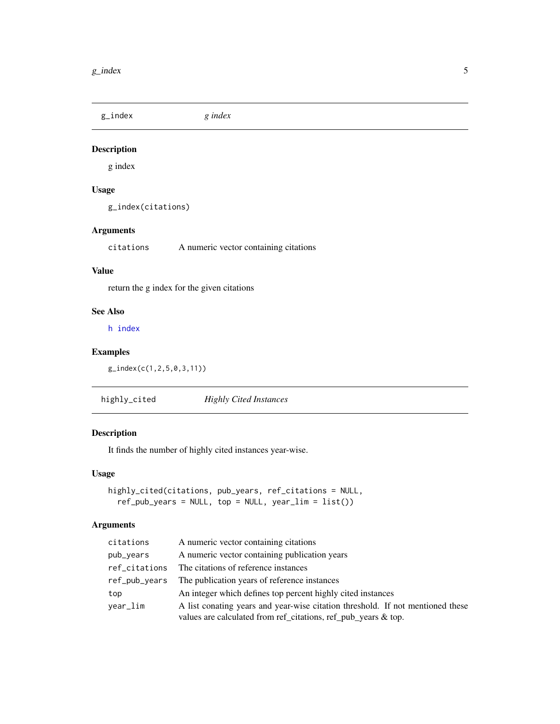<span id="page-4-1"></span><span id="page-4-0"></span>g\_index *g index*

#### Description

g index

#### Usage

g\_index(citations)

#### Arguments

citations A numeric vector containing citations

#### Value

return the g index for the given citations

#### See Also

[h index](#page-5-1)

#### Examples

g\_index(c(1,2,5,0,3,11))

highly\_cited *Highly Cited Instances*

#### Description

It finds the number of highly cited instances year-wise.

#### Usage

```
highly_cited(citations, pub_years, ref_citations = NULL,
  ref_pub_years = NULL, top = NULL, year_lim = list())
```
#### Arguments

| citations     | A numeric vector containing citations                                                                                                            |
|---------------|--------------------------------------------------------------------------------------------------------------------------------------------------|
| pub_years     | A numeric vector containing publication years                                                                                                    |
| ref_citations | The citations of reference instances                                                                                                             |
| ref_pub_years | The publication years of reference instances                                                                                                     |
| top           | An integer which defines top percent highly cited instances                                                                                      |
| year_lim      | A list conating years and year-wise citation threshold. If not mentioned these<br>values are calculated from ref_citations, ref_pub_years & top. |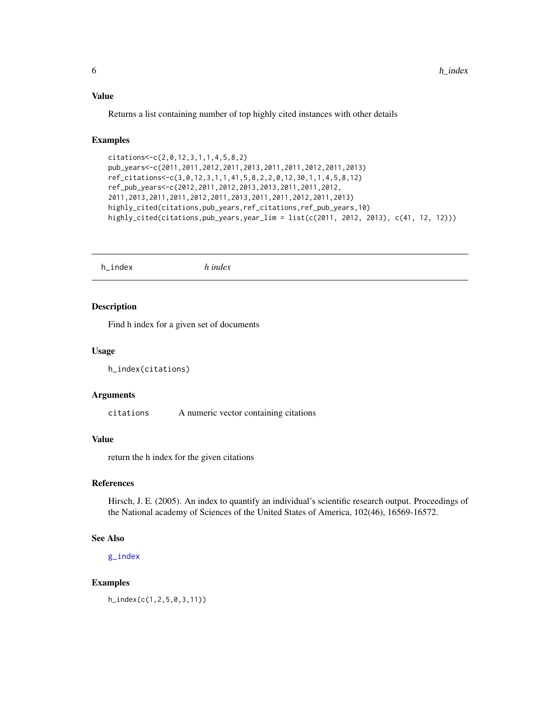#### <span id="page-5-0"></span>Value

Returns a list containing number of top highly cited instances with other details

#### Examples

```
citations<-c(2,0,12,3,1,1,4,5,8,2)
pub_years<-c(2011,2011,2012,2011,2013,2011,2011,2012,2011,2013)
ref_citations<-c(3,0,12,3,1,1,41,5,8,2,2,0,12,30,1,1,4,5,8,12)
ref_pub_years<-c(2012,2011,2012,2013,2013,2011,2011,2012,
2011,2013,2011,2011,2012,2011,2013,2011,2011,2012,2011,2013)
highly_cited(citations,pub_years,ref_citations,ref_pub_years,10)
highly_cited(citations,pub_years,year_lim = list(c(2011, 2012, 2013), c(41, 12, 12)))
```
<span id="page-5-1"></span>h\_index *h index*

#### Description

Find h index for a given set of documents

#### Usage

h\_index(citations)

#### Arguments

citations A numeric vector containing citations

#### Value

return the h index for the given citations

#### References

Hirsch, J. E. (2005). An index to quantify an individual's scientific research output. Proceedings of the National academy of Sciences of the United States of America, 102(46), 16569-16572.

#### See Also

[g\\_index](#page-4-1)

#### Examples

h\_index(c(1,2,5,0,3,11))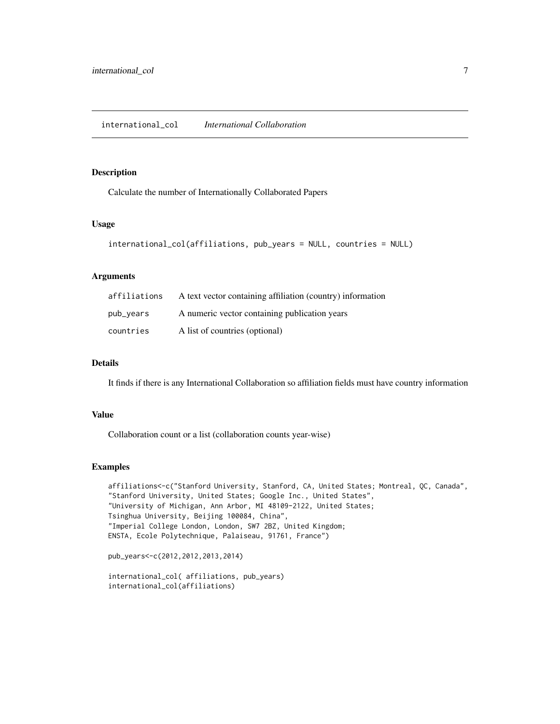#### <span id="page-6-0"></span>Description

Calculate the number of Internationally Collaborated Papers

#### Usage

```
international_col(affiliations, pub_years = NULL, countries = NULL)
```
#### Arguments

| affiliations | A text vector containing affiliation (country) information |
|--------------|------------------------------------------------------------|
| pub_years    | A numeric vector containing publication years              |
| countries    | A list of countries (optional)                             |

#### Details

It finds if there is any International Collaboration so affiliation fields must have country information

#### Value

Collaboration count or a list (collaboration counts year-wise)

```
affiliations<-c("Stanford University, Stanford, CA, United States; Montreal, QC, Canada",
"Stanford University, United States; Google Inc., United States",
"University of Michigan, Ann Arbor, MI 48109-2122, United States;
Tsinghua University, Beijing 100084, China",
"Imperial College London, London, SW7 2BZ, United Kingdom;
ENSTA, Ecole Polytechnique, Palaiseau, 91761, France")
```

```
pub_years<-c(2012,2012,2013,2014)
```

```
international_col( affiliations, pub_years)
international_col(affiliations)
```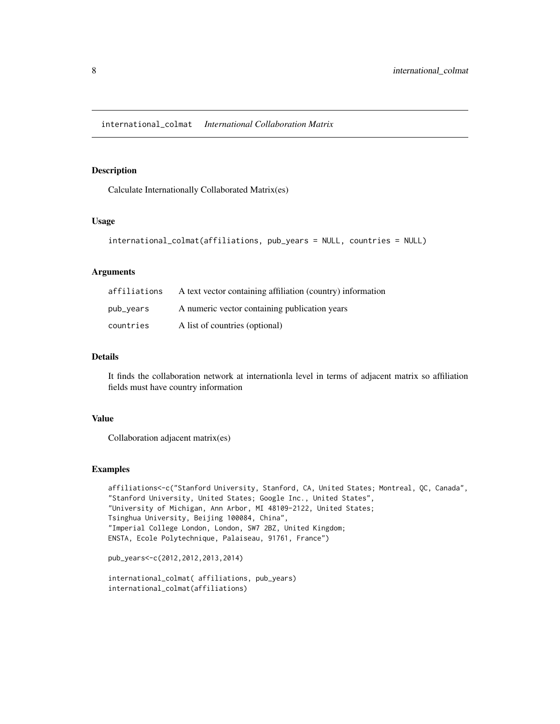#### <span id="page-7-0"></span>Description

Calculate Internationally Collaborated Matrix(es)

#### Usage

```
international_colmat(affiliations, pub_years = NULL, countries = NULL)
```
#### Arguments

| affiliations | A text vector containing affiliation (country) information |
|--------------|------------------------------------------------------------|
| pub_years    | A numeric vector containing publication years              |
| countries    | A list of countries (optional)                             |

#### Details

It finds the collaboration network at internationla level in terms of adjacent matrix so affiliation fields must have country information

#### Value

Collaboration adjacent matrix(es)

```
affiliations<-c("Stanford University, Stanford, CA, United States; Montreal, QC, Canada",
"Stanford University, United States; Google Inc., United States",
"University of Michigan, Ann Arbor, MI 48109-2122, United States;
Tsinghua University, Beijing 100084, China",
"Imperial College London, London, SW7 2BZ, United Kingdom;
ENSTA, Ecole Polytechnique, Palaiseau, 91761, France")
```

```
pub_years<-c(2012,2012,2013,2014)
```

```
international_colmat( affiliations, pub_years)
international_colmat(affiliations)
```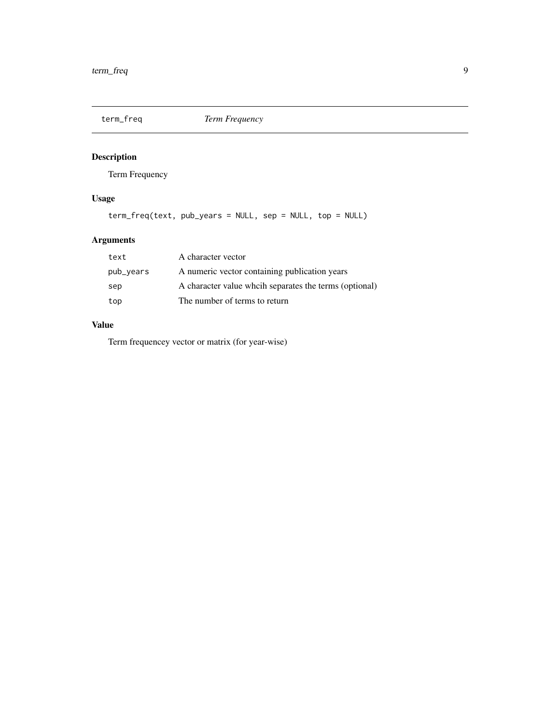<span id="page-8-0"></span>

#### Description

Term Frequency

#### Usage

term\_freq(text, pub\_years = NULL, sep = NULL, top = NULL)

#### Arguments

| text      | A character vector                                     |
|-----------|--------------------------------------------------------|
| pub_years | A numeric vector containing publication years          |
| sep       | A character value wheih separates the terms (optional) |
| top       | The number of terms to return                          |

#### Value

Term frequencey vector or matrix (for year-wise)